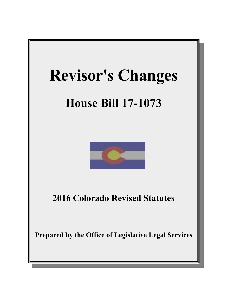

# **House Bill 17-1073**



**2016 Colorado Revised Statutes**

**Prepared by the Office of Legislative Legal Services**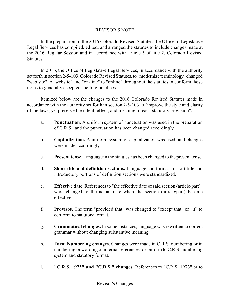## REVISOR'S NOTE

In the preparation of the 2016 Colorado Revised Statutes, the Office of Legislative Legal Services has compiled, edited, and arranged the statutes to include changes made at the 2016 Regular Session and in accordance with article 5 of title 2, Colorado Revised Statutes.

In 2016, the Office of Legislative Legal Services, in accordance with the authority set forth in section 2-5-103, Colorado Revised Statutes, to "modernize terminology" changed "web site" to "website" and "on-line" to "online" throughout the statutes to conform those terms to generally accepted spelling practices.

Itemized below are the changes to the 2016 Colorado Revised Statutes made in accordance with the authority set forth in section 2-5-103 to "improve the style and clarity of the laws, yet preserve the intent, effect, and meaning of each statutory provision".

- a. **Punctuation.** A uniform system of punctuation was used in the preparation of C.R.S., and the punctuation has been changed accordingly.
- b. **Capitalization.** A uniform system of capitalization was used, and changes were made accordingly.
- c. **Present tense.** Language in the statutes has been changed to the present tense.
- d. **Short title and definition sections.** Language and format in short title and introductory portions of definition sections were standardized.
- e. **Effective date.** References to "the effective date of said section (article/part)" were changed to the actual date when the section (article/part) became effective.
- f. **Provisos.** The term "provided that" was changed to "except that" or "if" to conform to statutory format.
- g. **Grammatical changes.** In some instances, language was rewritten to correct grammar without changing substantive meaning.
- h. **Form Numbering changes.** Changes were made in C.R.S. numbering or in numbering or wording of internal references to conform to C.R.S. numbering system and statutory format.
- i. **"C.R.S. 1973" and "C.R.S." changes.** References to "C.R.S. 1973" or to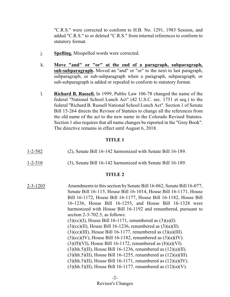"C.R.S." were corrected to conform to H.B. No. 1291, 1983 Session, and added "C.R.S." to or deleted "C.R.S." from internal references to conform to statutory format.

- j. **Spelling.** Misspelled words were corrected.
- k. **Move "and" or "or" at the end of a paragraph, subparagraph, sub-subparagraph.** Moved an "and" or "or" to the next to last paragraph, subparagraph, or sub-subparagraph when a paragraph, subparagraph, or sub-subparagraph is added or repealed to conform to statutory format.
- l. **Richard B. Russell.** In 1999, Public Law 106-78 changed the name of the federal "National School Lunch Act" (42 U.S.C. sec. 1751 et seq.) to the federal "Richard B. Russell National School Lunch Act". Section 1 of Senate Bill 15-264 directs the Revisor of Statutes to change all the references from the old name of the act to the new name in the Colorado Revised Statutes. Section 1 also requires that all name changes be reported in the "Grey Book". The directive remains in effect until August 6, 2018.

#### **TITLE 1**

| $1 - 2 - 502$ | (2), Senate Bill 16-142 harmonized with Senate Bill 16-189. |
|---------------|-------------------------------------------------------------|
| $1 - 2 - 510$ | (3), Senate Bill 16-142 harmonized with Senate Bill 16-189. |

| 2-3-1203 | Amendments to this section by Senate Bill 16-062, Senate Bill 16-077, |
|----------|-----------------------------------------------------------------------|
|          | Senate Bill 16-115, House Bill 16-1014, House Bill 16-1171, House     |
|          | Bill 16-1172, House Bill 16-1177, House Bill 16-1182, House Bill      |
|          | 16-1236, House Bill 16-1255, and House Bill 16-1328 were              |
|          | harmonized with House Bill 16-1192 and renumbered, pursuant to        |
|          | section $2-3-702.5$ , as follows:                                     |
|          | $(3)(cc)(I)$ , House Bill 16-1171, renumbered as $(3)(a)(I)$ .        |
|          | $(3)(cc)(II)$ , House Bill 16-1236, renumbered as $(3)(a)(II)$ .      |
|          | $(3)(cc)(III)$ , House Bill 16-1177, renumbered as $(3)(a)(III)$ .    |
|          | $(3)(cc)(IV)$ , House Bill 16-1182, renumbered as $(3)(a)(IV)$ .      |
|          | $(3)(ff)(VI)$ , House Bill 16-1172, renumbered as $(8)(a)(VI)$ .      |
|          | $(3)(hh.5)(II)$ , House Bill 16-1236, renumbered as $(12)(a)(II)$ .   |
|          | $(3)(hh.5)(II)$ , House Bill 16-1255, renumbered as $(12)(a)(III)$ .  |
|          | $(3)(hh.5)(II)$ , House Bill 16-1171, renumbered as $(12)(a)(IV)$ .   |
|          | $(3)(hh.5)(II)$ , House Bill 16-1177, renumbered as $(12)(a)(V)$ .    |
|          |                                                                       |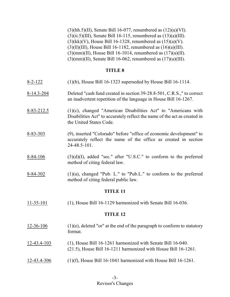$(3)(hh.5)(II)$ , Senate Bill 16-077, renumbered as  $(12)(a)(VI)$ .  $(3)(ii.5)(III)$ , Senate Bill 16-115, renumbered as  $(13)(a)(III)$ .  $(3)(kk)(V)$ , House Bill 16-1328, renumbered as  $(15)(a)(V)$ .  $(3)(11)(III)$ , House Bill 16-1182, renumbered as  $(16)(a)(III)$ .  $(3)(mm)(II)$ , House Bill 16-1014, renumbered as  $(17)(a)(II)$ . (3)(mm)(II), Senate Bill 16-062, renumbered as (17)(a)(III).

| $8 - 2 - 122$   | $(1)(b)$ , House Bill 16-1323 superseded by House Bill 16-1114.                                                                                                           |  |
|-----------------|---------------------------------------------------------------------------------------------------------------------------------------------------------------------------|--|
| $8-14.3-204$    | Deleted "cash fund created in section 39-28.8-501, C.R.S.," to correct<br>an inadvertent repetition of the language in House Bill 16-1267.                                |  |
| 8-83-212.5      | $(1)(c)$ , changed "American Disabilities Act" to "Americans with<br>Disabilities Act" to accurately reflect the name of the act as created in<br>the United States Code. |  |
| 8-83-303        | (9), inserted "Colorado" before "office of economic development" to<br>accurately reflect the name of the office as created in section<br>24-48.5-101.                    |  |
| $8 - 84 - 106$  | $(3)(d)(I)$ , added "sec." after "U.S.C." to conform to the preferred<br>method of citing federal law.                                                                    |  |
| $8 - 84 - 302$  | $(1)(a)$ , changed "Pub. L." to "Pub.L." to conform to the preferred<br>method of citing federal public law.                                                              |  |
|                 | <b>TITLE 11</b>                                                                                                                                                           |  |
| $11 - 35 - 101$ | $(1)$ , House Bill 16-1129 harmonized with Senate Bill 16-036.                                                                                                            |  |
| <b>TITLE 12</b> |                                                                                                                                                                           |  |
| 12-36-106       | $(1)(e)$ , deleted "or" at the end of the paragraph to conform to statutory<br>format.                                                                                    |  |
| 12-43.4-103     | (1), House Bill 16-1261 harmonized with Senate Bill 16-040.<br>$(21.5)$ , House Bill 16-1211 harmonized with House Bill 16-1261.                                          |  |
| 12-43.4-306     | $(1)(f)$ , House Bill 16-1041 harmonized with House Bill 16-1261.                                                                                                         |  |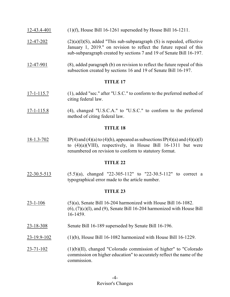- 12-43.4-401 (1)(f), House Bill 16-1261 superseded by House Bill 16-1211.
- $12-47-202$  (2)(a)(I)(S), added "This sub-subparagraph (S) is repealed, effective January 1, 2019." on revision to reflect the future repeal of this sub-subparagraph created by sections 7 and 19 of Senate Bill 16-197.
- 12-47-901 (8), added paragraph (b) on revision to reflect the future repeal of this subsection created by sections 16 and 19 of Senate Bill 16-197.

- 17-1-115.7 (1), added "sec." after "U.S.C." to conform to the preferred method of citing federal law.
- 17-1-115.8 (4), changed "U.S.C.A." to "U.S.C." to conform to the preferred method of citing federal law.

#### **TITLE 18**

18-1.3-702 IP(4) and (4)(a) to (4)(h), appeared as subsections IP(4)(a) and (4)(a)(I) to (4)(a)(VIII), respectively, in House Bill 16-1311 but were renumbered on revision to conform to statutory format.

## **TITLE 22**

 $22-30.5-513$  (5.5)(a), changed "22-305-112" to "22-30.5-112" to correct a typographical error made to the article number.

- 23-1-106 (5)(a), Senate Bill 16-204 harmonized with House Bill 16-1082.  $(6)$ ,  $(7)(c)(I)$ , and  $(9)$ , Senate Bill 16-204 harmonized with House Bill 16-1459.
- 23-18-308 Senate Bill 16-189 superseded by Senate Bill 16-196.
- 23-19.9-102 (1)(b), House Bill 16-1082 harmonized with House Bill 16-1229.
- 23-71-102 (1)(b)(II), changed "Colorado commission of higher" to "Colorado commission on higher education" to accurately reflect the name of the commission.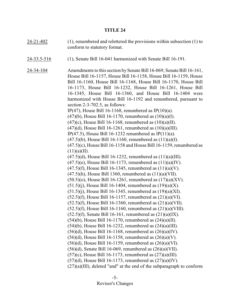| $24 - 21 - 402$ | $(1)$ , renumbered and relettered the provisions within subsection $(1)$ to<br>conform to statutory format.                                                                                                                                                                                                                                                                                                                                                                                                                                                              |
|-----------------|--------------------------------------------------------------------------------------------------------------------------------------------------------------------------------------------------------------------------------------------------------------------------------------------------------------------------------------------------------------------------------------------------------------------------------------------------------------------------------------------------------------------------------------------------------------------------|
| 24-33.5-516     | (1), Senate Bill 16-041 harmonized with Senate Bill 16-191.                                                                                                                                                                                                                                                                                                                                                                                                                                                                                                              |
| 24-34-104       | Amendments to this section by Senate Bill 16-069, Senate Bill 16-161,<br>House Bill 16-1157, House Bill 16-1158, House Bill 16-1159, House<br>Bill 16-1160, House Bill 16-1168, House Bill 16-1170, House Bill<br>16-1173, House Bill 16-1232, House Bill 16-1261, House Bill<br>16-1345, House Bill 16-1360, and House Bill 16-1404 were<br>harmonized with House Bill 16-1192 and renumbered, pursuant to<br>section $2-3-702.5$ , as follows:<br>IP(47), House Bill 16-1168, renumbered as IP(10)(a).<br>$(47)(b)$ , House Bill 16-1170, renumbered as $(10)(a)(I)$ . |
|                 | $(47)(c)$ , House Bill 16-1168, renumbered as $(10)(a)(II)$ .<br>$(47)(d)$ , House Bill 16-1261, renumbered as $(10)(a)(III)$ .<br>IP(47.5), House Bill 16-1232 renumbered as IP(11)(a).<br>$(47.5)(b)$ , House Bill 16-1160, renumbered as $(11)(a)(I)$ .                                                                                                                                                                                                                                                                                                               |
|                 | $(47.5)(c)$ , House Bill 16-1158 and House Bill 16-1159, renumbered as<br>(11)(a)(II).<br>$(47.5)(d)$ , House Bill 16-1232, renumbered as $(11)(a)(III)$ .                                                                                                                                                                                                                                                                                                                                                                                                               |
|                 | $(47.5)(e)$ , House Bill 16-1173, renumbered as $(11)(a)(IV)$ .<br>$(47.5)(f)$ , House Bill 16-1345, renumbered as $(11)(a)(V)$ .<br>$(47.5)$ (h), House Bill 1360, renumbered as $(11)(a)$ (VII).<br>$(50.5)(o)$ , House Bill 16-1261, renumbered as $(17)(a)(XV)$ .                                                                                                                                                                                                                                                                                                    |
|                 | $(51.5)(j)$ , House Bill 16-1404, renumbered as $(19)(a)(X)$ .<br>$(51.5)(j)$ , House Bill 16-1345, renumbered as $(19)(a)(XI)$ .<br>$(52.5)(f)$ , House Bill 16-1157, renumbered as $(21)(a)(VI)$ .                                                                                                                                                                                                                                                                                                                                                                     |
|                 | $(52.5)(f)$ , House Bill 16-1360, renumbered as $(21)(a)(VII)$ .<br>$(52.5)(f)$ , House Bill 16-1160, renumbered as $(21)(a)(VIII)$ .<br>$(52.5)(f)$ , Senate Bill 16-161, renumbered as $(21)(a)(IX)$ .                                                                                                                                                                                                                                                                                                                                                                 |
|                 | $(54)(b)$ , House Bill 16-1170, renumbered as $(24)(a)(II)$ .<br>$(54)(b)$ , House Bill 16-1232, renumbered as $(24)(a)(III)$ .<br>$(56)(d)$ , House Bill 16-1168, renumbered as $(26)(a)(IV)$ .                                                                                                                                                                                                                                                                                                                                                                         |
|                 | $(56)(d)$ , House Bill 16-1158, renumbered as $(26)(a)(V)$ .<br>$(56)(d)$ , House Bill 16-1159, renumbered as $(26)(a)(VI)$ .<br>$(56)(d)$ , Senate Bill 16-069, renumbered as $(26)(a)(VII)$ .                                                                                                                                                                                                                                                                                                                                                                          |
|                 | $(57)$ (c), House Bill 16-1173, renumbered as $(27)$ (a)(III).<br>$(57)(d)$ , House Bill 16-1173, renumbered as $(27)(a)(IV)$ .<br>$(27)(a)(III)$ , deleted "and" at the end of the subparagraph to conform                                                                                                                                                                                                                                                                                                                                                              |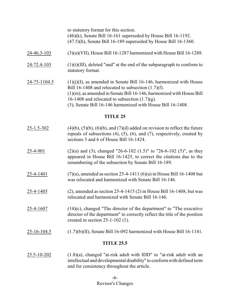|              | to statutory format for this section.<br>$(46)$ (k), Senate Bill 16-161 superseded by House Bill 16-1192.<br>$(47.5)$ (h), Senate Bill 16-189 superseded by House Bill 16-1360.                                                                                                                                              |
|--------------|------------------------------------------------------------------------------------------------------------------------------------------------------------------------------------------------------------------------------------------------------------------------------------------------------------------------------|
| 24-46.3-103  | $(3)(a)(VII)$ , House Bill 16-1287 harmonized with House Bill 16-1288.                                                                                                                                                                                                                                                       |
| 24-72.4-103  | $(1)(i)(III)$ , deleted "and" at the end of the subparagraph to conform to<br>statutory format.                                                                                                                                                                                                                              |
| 24-75-1104.5 | $(1)(i)(I)$ , as amended in Senate Bill 16-146, harmonized with House<br>Bill 16-1408 and relocated to subsection $(1.7)(f)$ .<br>$(1)(m)$ , as amended in Senate Bill 16-146, harmonized with House Bill<br>16-1408 and relocated to subsection $(1.7)(g)$ .<br>(3), Senate Bill 16-146 harmonized with House Bill 16-1408. |

- $25-1.5-302$  (4)(b), (5)(b), (6)(b), and (7)(d) added on revision to reflect the future repeals of subsections  $(4)$ ,  $(5)$ ,  $(6)$ , and  $(7)$ , respectively, created by sections 3 and 6 of House Bill 16-1424.
- 25-4-901 (2)(a) and (3), changed "26-6-102 (1.5)" to "26-6-102 (5)", as they appeared in House Bill 16-1425, to correct the citations due to the renumbering of the subsection by Senate Bill 16-189.
- 25-4-1401 (7)(a), amended as section 25-4-1411 (6)(a) in House Bill 16-1408 but was relocated and harmonized with Senate Bill 16-146.
- 25-4-1405 (2), amended as section 25-4-1415 (2) in House Bill 16-1408, but was relocated and harmonized with Senate Bill 16-146.
- 25-4-1607 (14)(c), changed "The director of the department" to "The executive director of the department" to correctly reflect the title of the position created in section 25-1-102 (1).
- 25-16-104.5 (1.7)(b)(II), Senate Bill 16-092 harmonized with House Bill 16-1141.

## **TITLE 25.5**

25.5-10-202 (1.8)(a), changed "at-risk adult with IDD" to "at-risk adult with an intellectual and developmental disability" to conformwith defined term and for consistency throughout the article.